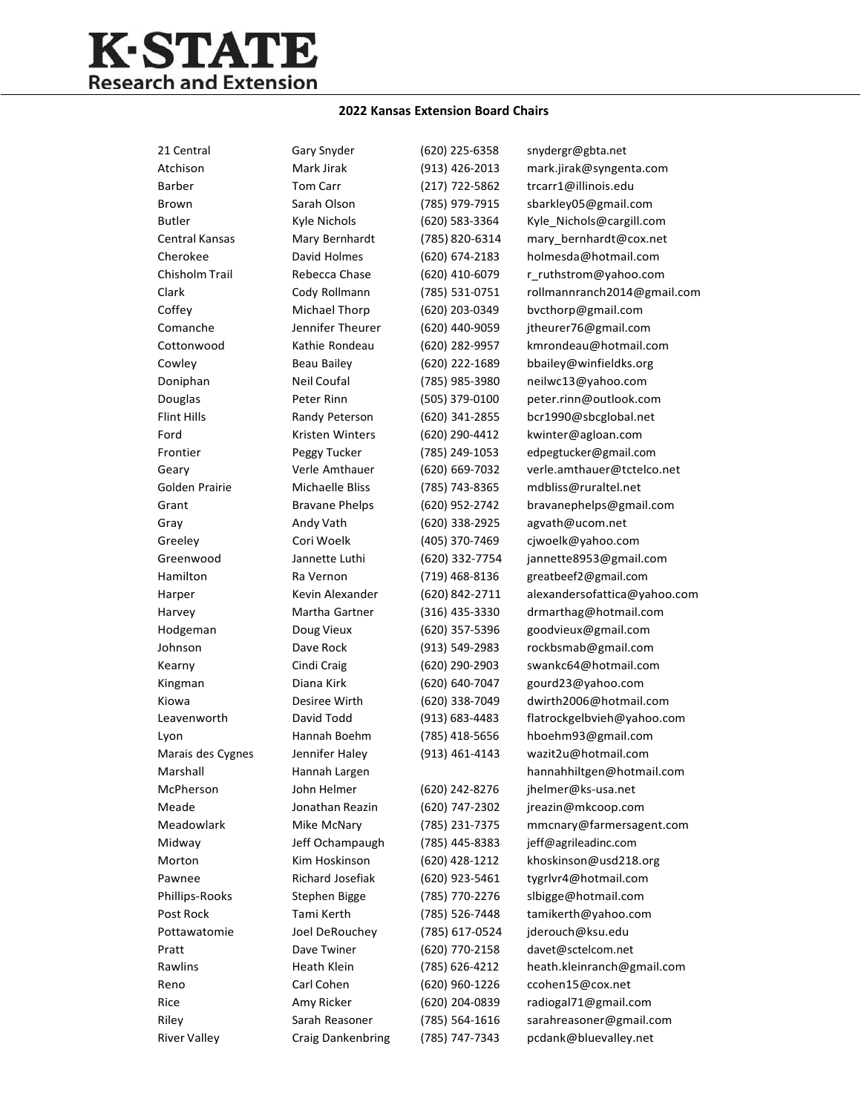## **K-STATE** Research and Extension

## **2022 Kansas Extension Board Chairs**

| 21 Central          | Gary Snyder           | (620) 225-6358     | snydergr@gbta.net            |
|---------------------|-----------------------|--------------------|------------------------------|
| Atchison            | Mark Jirak            | (913) 426-2013     | mark.jirak@syngenta.com      |
| <b>Barber</b>       | Tom Carr              | (217) 722-5862     | trcarr1@illinois.edu         |
| Brown               | Sarah Olson           | (785) 979-7915     | sbarkley05@gmail.com         |
| <b>Butler</b>       | Kyle Nichols          | (620) 583-3364     | Kyle_Nichols@cargill.com     |
| Central Kansas      | Mary Bernhardt        | (785) 820-6314     | mary_bernhardt@cox.net       |
| Cherokee            | David Holmes          | (620) 674-2183     | holmesda@hotmail.com         |
| Chisholm Trail      | Rebecca Chase         | (620) 410-6079     | r_ruthstrom@yahoo.com        |
| Clark               | Cody Rollmann         | (785) 531-0751     | rollmannranch2014@gmail.com  |
| Coffey              | Michael Thorp         | (620) 203-0349     | bvcthorp@gmail.com           |
| Comanche            | Jennifer Theurer      | (620) 440-9059     | jtheurer76@gmail.com         |
| Cottonwood          | Kathie Rondeau        | (620) 282-9957     | kmrondeau@hotmail.com        |
| Cowley              | Beau Bailey           | (620) 222-1689     | bbailey@winfieldks.org       |
| Doniphan            | Neil Coufal           | (785) 985-3980     | neilwc13@yahoo.com           |
| Douglas             | Peter Rinn            | (505) 379-0100     | peter.rinn@outlook.com       |
| <b>Flint Hills</b>  | Randy Peterson        | (620) 341-2855     | bcr1990@sbcglobal.net        |
| Ford                | Kristen Winters       | (620) 290-4412     | kwinter@agloan.com           |
| Frontier            | Peggy Tucker          | (785) 249-1053     | edpegtucker@gmail.com        |
| Geary               | Verle Amthauer        | (620) 669-7032     | verle.amthauer@tctelco.net   |
| Golden Prairie      | Michaelle Bliss       | (785) 743-8365     | mdbliss@ruraltel.net         |
| Grant               | <b>Bravane Phelps</b> | (620) 952-2742     | bravanephelps@gmail.com      |
| Gray                | Andy Vath             | (620) 338-2925     | agvath@ucom.net              |
| Greeley             | Cori Woelk            | (405) 370-7469     | cjwoelk@yahoo.com            |
| Greenwood           | Jannette Luthi        | (620) 332-7754     | jannette8953@gmail.com       |
| Hamilton            | Ra Vernon             | (719) 468-8136     | greatbeef2@gmail.com         |
| Harper              | Kevin Alexander       | (620) 842-2711     | alexandersofattica@yahoo.com |
| Harvey              | Martha Gartner        | (316) 435-3330     | drmarthag@hotmail.com        |
| Hodgeman            | Doug Vieux            | (620) 357-5396     | goodvieux@gmail.com          |
| Johnson             | Dave Rock             | (913) 549-2983     | rockbsmab@gmail.com          |
| Kearny              | Cindi Craig           | (620) 290-2903     | swankc64@hotmail.com         |
| Kingman             | Diana Kirk            | (620) 640-7047     | gourd23@yahoo.com            |
| Kiowa               | Desiree Wirth         | (620) 338-7049     | dwirth2006@hotmail.com       |
| Leavenworth         | David Todd            | $(913) 683 - 4483$ | flatrockgelbvieh@yahoo.com   |
| Lyon                | Hannah Boehm          | (785) 418-5656     | hboehm93@gmail.com           |
| Marais des Cygnes   | Jennifer Haley        | (913) 461-4143     | wazit2u@hotmail.com          |
| Marshall            | Hannah Largen         |                    | hannahhiltgen@hotmail.com    |
| McPherson           | John Helmer           | (620) 242-8276     | jhelmer@ks-usa.net           |
| Meade               | Jonathan Reazin       | (620) 747-2302     | jreazin@mkcoop.com           |
| Meadowlark          | Mike McNary           | (785) 231-7375     | mmcnary@farmersagent.com     |
| Midway              | Jeff Ochampaugh       | (785) 445-8383     | jeff@agrileadinc.com         |
| Morton              | Kim Hoskinson         | (620) 428-1212     | khoskinson@usd218.org        |
| Pawnee              | Richard Josefiak      | (620) 923-5461     | tygrlvr4@hotmail.com         |
| Phillips-Rooks      | Stephen Bigge         | (785) 770-2276     | slbigge@hotmail.com          |
| Post Rock           | Tami Kerth            | (785) 526-7448     | tamikerth@yahoo.com          |
| Pottawatomie        | Joel DeRouchev        | (785) 617-0524     | jderouch@ksu.edu             |
| Pratt               | Dave Twiner           | (620) 770-2158     | davet@sctelcom.net           |
| Rawlins             | Heath Klein           | (785) 626-4212     | heath.kleinranch@gmail.com   |
| Reno                | Carl Cohen            | (620) 960-1226     | ccohen15@cox.net             |
| Rice                | Amy Ricker            | (620) 204-0839     | radiogal71@gmail.com         |
| Riley               | Sarah Reasoner        | (785) 564-1616     | sarahreasoner@gmail.com      |
| <b>River Valley</b> | Craig Dankenbring     | (785) 747-7343     | pcdank@bluevalley.net        |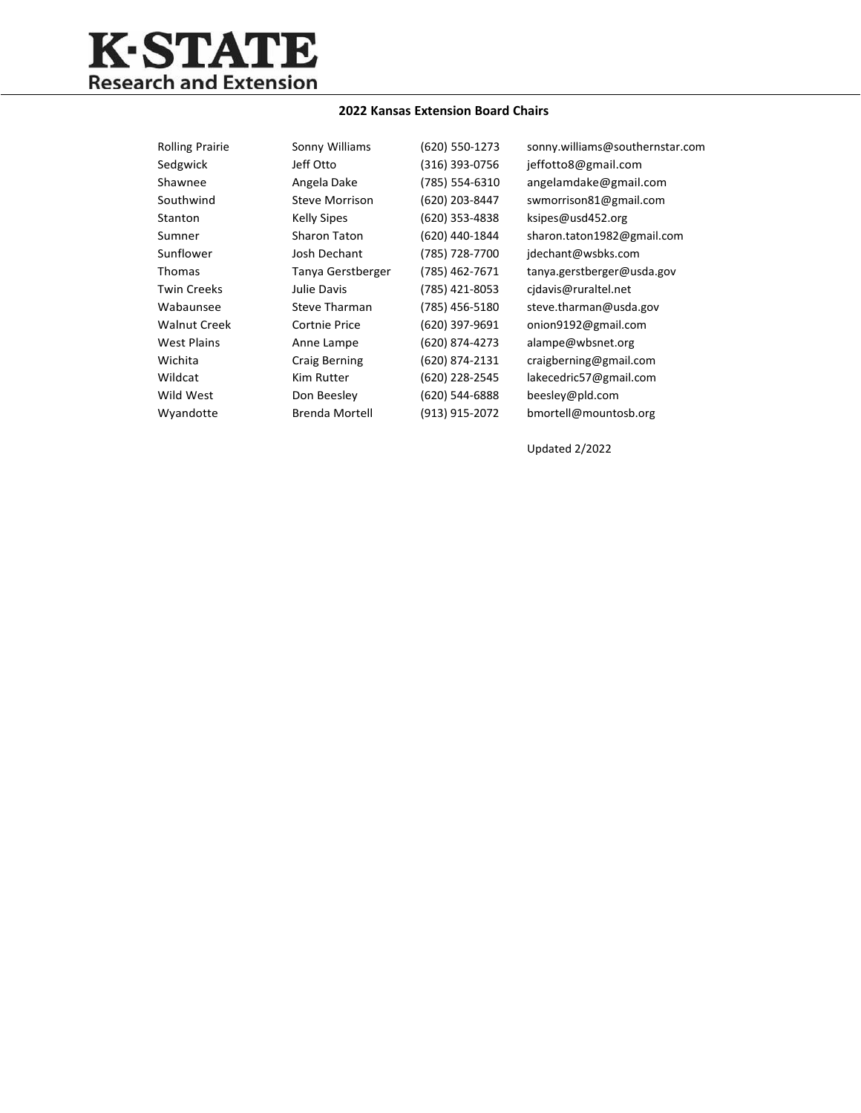

## **2022 Kansas Extension Board Chairs**

| <b>Rolling Prairie</b> | Sonny Williams        | (620) 550-1273 | sonny.williams@southernstar.com |
|------------------------|-----------------------|----------------|---------------------------------|
| Sedgwick               | Jeff Otto             | (316) 393-0756 | jeffotto8@gmail.com             |
| Shawnee                | Angela Dake           | (785) 554-6310 | angelamdake@gmail.com           |
| Southwind              | <b>Steve Morrison</b> | (620) 203-8447 | swmorrison81@gmail.com          |
| Stanton                | <b>Kelly Sipes</b>    | (620) 353-4838 | ksipes@usd452.org               |
| Sumner                 | <b>Sharon Taton</b>   | (620) 440-1844 | sharon.taton1982@gmail.com      |
| Sunflower              | Josh Dechant          | (785) 728-7700 | jdechant@wsbks.com              |
| <b>Thomas</b>          | Tanya Gerstberger     | (785) 462-7671 | tanya.gerstberger@usda.gov      |
| <b>Twin Creeks</b>     | Julie Davis           | (785) 421-8053 | cidavis@ruraltel.net            |
| Wabaunsee              | <b>Steve Tharman</b>  | (785) 456-5180 | steve.tharman@usda.gov          |
| <b>Walnut Creek</b>    | <b>Cortnie Price</b>  | (620) 397-9691 | onion9192@gmail.com             |
| <b>West Plains</b>     | Anne Lampe            | (620) 874-4273 | alampe@wbsnet.org               |
| Wichita                | Craig Berning         | (620) 874-2131 | craigberning@gmail.com          |
| Wildcat                | Kim Rutter            | (620) 228-2545 | lakecedric57@gmail.com          |
| Wild West              | Don Beesley           | (620) 544-6888 | beesley@pld.com                 |
| Wyandotte              | <b>Brenda Mortell</b> | (913) 915-2072 | bmortell@mountosb.org           |
|                        |                       |                |                                 |

Updated 2/2022